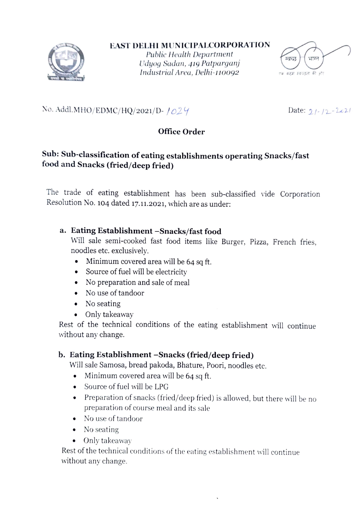

EAST DELHI MUNICIPALCORPORATION

Public Health Department Udyog Sadan, 419 Patparganj Industrial Area, Delhi-110092



# No. Addl.MHO/EDMC/HQ/2021/D-1024

## Office Order

# Sub: Sub-classification of eating establishments operating Snacks/fast food and Snacks (fried/deep fried)

The trade of eating establishment has been sub-classified vide Corporation Resolution No. 104 dated 17.11.2021, which are as under:

### a. Eating Establishment -Snacks/fast food

will sale semi-cooked fast food items like Burger, Pizza, French fries, noodles etc. exclusively.

- Minimum covered area will be 64 sq ft.
- Source of fuel will be electricity
- No preparation and sale of meal
- No use of tandoor
- No seating
- Only takeaway

Rest of the technical conditions of the eating establishment will continue without any change.

# b. Eating Establishment -Snacks (fried/deep fried)

Will sale Samosa, bread pakoda, Bhature, Poori, noodles etc.

- Minimum covered area will be 64 sq ft.
- Source of fuel will be LPG
- Preparation of snacks (fried/deep fried) is allowed, but there will be no preparation of course meal and its sale
- No use of tandoor
- No seating
- Only takeaway

Rest of the technical conditions of the eating establishment will continue without any change.